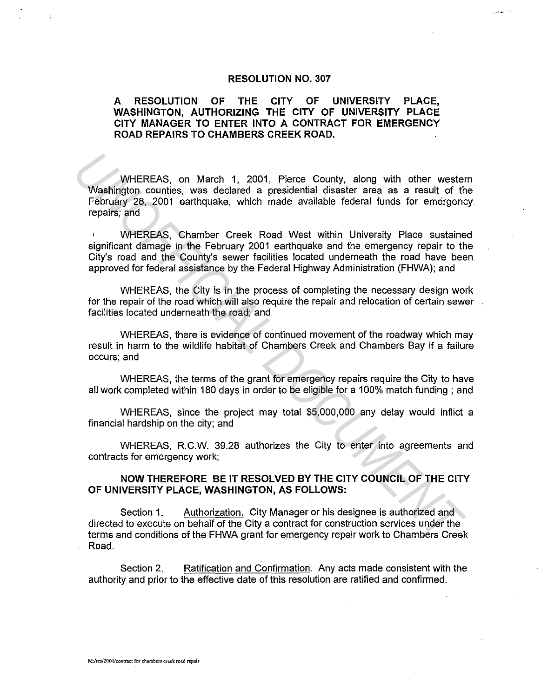## **RESOLUTION NO. 307**

 $\phi(\omega)$  in

## **A RESOLUTION OF THE CITY OF UNIVERSITY PLACE, WASHINGTON, AUTHORIZING THE CITY OF UNIVERSITY PLACE CITY MANAGER TO ENTER INTO A CONTRACT FOR EMERGENCY ROAD REPAIRS TO CHAMBERS CREEK ROAD.**

WHEREAS, on March 1, 2001, Pierce County, along with other western Washington counties, was declared a presidential disaster area as a result of the February 28, 2001 earthquake, which made available federal funds for emergency. repairs; and WHEREAS, on March 1, 2001, Pierce County, along with other wester<br>
Washington counties, was declared a presidential disaster area as a result of the<br>
February 28, 2001 earthquake, which made available federal funds for eme

WHEREAS, Chamber Creek Road West within University Place sustained significant damage in the February 2001 earthquake and the emergency repair to the City's road and the County's sewer facilities located underneath the road have been approved for federal assistance by the Federal Highway Administration (FHWA); and

WHEREAS, the City is in the process of completing the necessary design work for the repair of the road which will also require the repair and relocation of certain sewer. facilities located underneath the road; and

WHEREAS, there is evidence of continued movement of the roadway which may result in harm to the wildlife habitat of Chambers Creek and Chambers Bay if a failure occurs; and

WHEREAS, the terms of the grant for emergency repairs require the City to have all work completed within 180 days in order to be eligible for a 100% match funding ; and

WHEREAS, since the project may total \$5,000,000 any delay would inflict a financial hardship on the city; and

WHEREAS, R.C.W. 39.28 authorizes the City to enter into agreements and contracts for emergency work;

## **NOW THEREFORE BE IT RESOLVED BY THE CITY COUNCIL OF THE CITY OF UNIVERSITY PLACE, WASHINGTON, AS FOLLOWS:**

Section 1. Authorization. City Manager or his designee is authorized and directed to execute on behalf of the City a contract for construction services under the terms and conditions of the FHWA grant for emergency repair work to Chambers Creek Road.

Section 2. Ratification and Confirmation. Any acts made consistent with the authority and prior to the effective date of this resolution are ratified and confirmed.